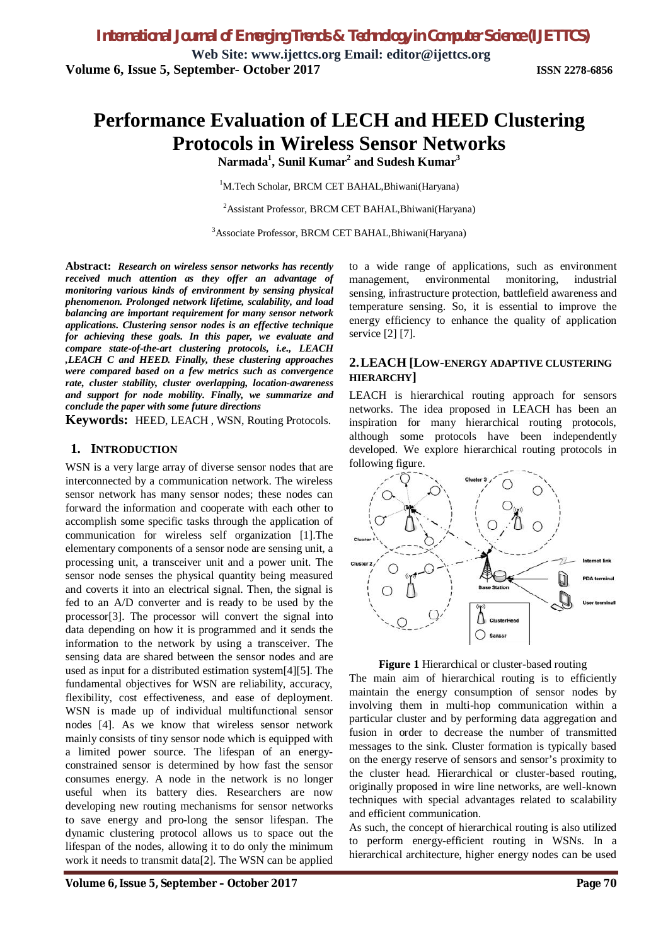**Web Site: www.ijettcs.org Email: editor@ijettcs.org Volume 6, Issue 5, September- October 2017 ISSN 2278-6856**

# **Performance Evaluation of LECH and HEED Clustering Protocols in Wireless Sensor Networks**

**Narmada<sup>1</sup> , Sunil Kumar<sup>2</sup> and Sudesh Kumar<sup>3</sup>**

<sup>1</sup>M.Tech Scholar, BRCM CET BAHAL, Bhiwani (Haryana)

<sup>2</sup>Assistant Professor, BRCM CET BAHAL,Bhiwani(Haryana)

<sup>3</sup>Associate Professor, BRCM CET BAHAL,Bhiwani(Haryana)

**Abstract:** *Research on wireless sensor networks has recently received much attention as they offer an advantage of monitoring various kinds of environment by sensing physical phenomenon. Prolonged network lifetime, scalability, and load balancing are important requirement for many sensor network applications. Clustering sensor nodes is an effective technique for achieving these goals. In this paper, we evaluate and compare state-of-the-art clustering protocols, i.e., LEACH ,LEACH C and HEED. Finally, these clustering approaches were compared based on a few metrics such as convergence rate, cluster stability, cluster overlapping, location-awareness and support for node mobility. Finally, we summarize and conclude the paper with some future directions*

**Keywords:** HEED, LEACH , WSN, Routing Protocols.

### **1. INTRODUCTION**

WSN is a very large array of diverse sensor nodes that are interconnected by a communication network. The wireless sensor network has many sensor nodes; these nodes can forward the information and cooperate with each other to accomplish some specific tasks through the application of communication for wireless self organization [1].The elementary components of a sensor node are sensing unit, a processing unit, a transceiver unit and a power unit. The sensor node senses the physical quantity being measured and coverts it into an electrical signal. Then, the signal is fed to an A/D converter and is ready to be used by the processor[3]. The processor will convert the signal into data depending on how it is programmed and it sends the information to the network by using a transceiver. The sensing data are shared between the sensor nodes and are used as input for a distributed estimation system[4][5]. The fundamental objectives for WSN are reliability, accuracy, flexibility, cost effectiveness, and ease of deployment. WSN is made up of individual multifunctional sensor nodes [4]. As we know that wireless sensor network mainly consists of tiny sensor node which is equipped with a limited power source. The lifespan of an energyconstrained sensor is determined by how fast the sensor consumes energy. A node in the network is no longer useful when its battery dies. Researchers are now developing new routing mechanisms for sensor networks to save energy and pro-long the sensor lifespan. The dynamic clustering protocol allows us to space out the lifespan of the nodes, allowing it to do only the minimum work it needs to transmit data[2]. The WSN can be applied

to a wide range of applications, such as environment management, environmental monitoring, industrial sensing, infrastructure protection, battlefield awareness and temperature sensing. So, it is essential to improve the energy efficiency to enhance the quality of application service [2] [7].

### **2.LEACH [LOW-ENERGY ADAPTIVE CLUSTERING HIERARCHY]**

LEACH is hierarchical routing approach for sensors networks. The idea proposed in LEACH has been an inspiration for many hierarchical routing protocols, although some protocols have been independently developed. We explore hierarchical routing protocols in following figure.



#### **Figure 1** Hierarchical or cluster-based routing

The main aim of hierarchical routing is to efficiently maintain the energy consumption of sensor nodes by involving them in multi-hop communication within a particular cluster and by performing data aggregation and fusion in order to decrease the number of transmitted messages to the sink. Cluster formation is typically based on the energy reserve of sensors and sensor's proximity to the cluster head. Hierarchical or cluster-based routing, originally proposed in wire line networks, are well-known techniques with special advantages related to scalability and efficient communication.

As such, the concept of hierarchical routing is also utilized to perform energy-efficient routing in WSNs. In a hierarchical architecture, higher energy nodes can be used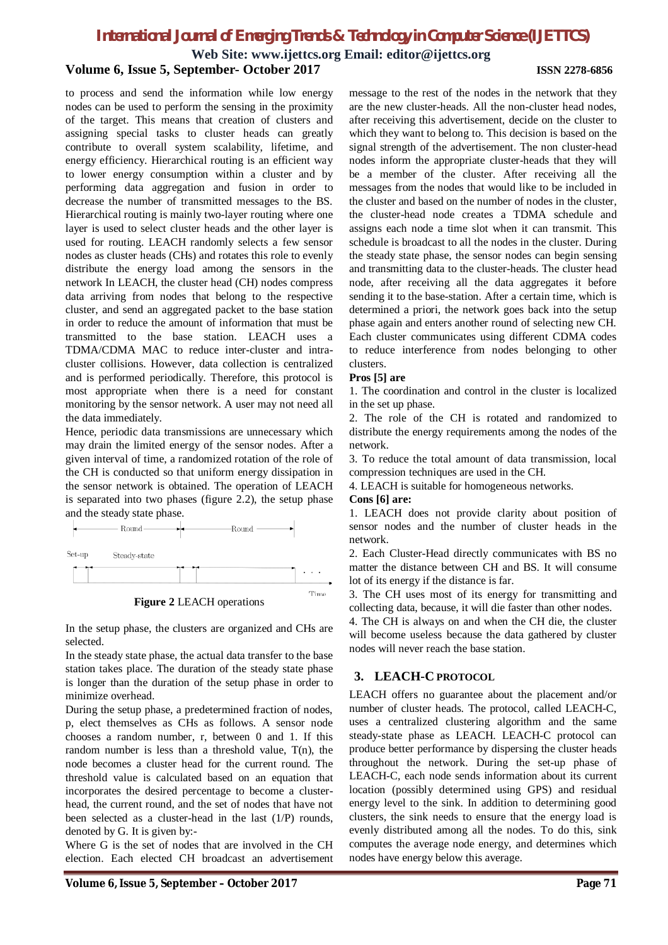**Web Site: www.ijettcs.org Email: editor@ijettcs.org**

## **Volume 6, Issue 5, September- October 2017 ISSN 2278-6856**

to process and send the information while low energy nodes can be used to perform the sensing in the proximity of the target. This means that creation of clusters and assigning special tasks to cluster heads can greatly contribute to overall system scalability, lifetime, and energy efficiency. Hierarchical routing is an efficient way to lower energy consumption within a cluster and by performing data aggregation and fusion in order to decrease the number of transmitted messages to the BS. Hierarchical routing is mainly two-layer routing where one layer is used to select cluster heads and the other layer is used for routing. LEACH randomly selects a few sensor nodes as cluster heads (CHs) and rotates this role to evenly distribute the energy load among the sensors in the network In LEACH, the cluster head (CH) nodes compress data arriving from nodes that belong to the respective cluster, and send an aggregated packet to the base station in order to reduce the amount of information that must be transmitted to the base station. LEACH uses a TDMA/CDMA MAC to reduce inter-cluster and intracluster collisions. However, data collection is centralized and is performed periodically. Therefore, this protocol is most appropriate when there is a need for constant monitoring by the sensor network. A user may not need all the data immediately.

Hence, periodic data transmissions are unnecessary which may drain the limited energy of the sensor nodes. After a given interval of time, a randomized rotation of the role of the CH is conducted so that uniform energy dissipation in the sensor network is obtained. The operation of LEACH is separated into two phases (figure 2.2), the setup phase and the steady state phase.



**Figure 2** LEACH operations

In the setup phase, the clusters are organized and CHs are selected.

In the steady state phase, the actual data transfer to the base station takes place. The duration of the steady state phase is longer than the duration of the setup phase in order to minimize overhead.

During the setup phase, a predetermined fraction of nodes, p, elect themselves as CHs as follows. A sensor node chooses a random number, r, between 0 and 1. If this random number is less than a threshold value,  $T(n)$ , the node becomes a cluster head for the current round. The threshold value is calculated based on an equation that incorporates the desired percentage to become a clusterhead, the current round, and the set of nodes that have not been selected as a cluster-head in the last (1/P) rounds, denoted by G. It is given by:-

Where G is the set of nodes that are involved in the CH election. Each elected CH broadcast an advertisement

message to the rest of the nodes in the network that they are the new cluster-heads. All the non-cluster head nodes, after receiving this advertisement, decide on the cluster to which they want to belong to. This decision is based on the signal strength of the advertisement. The non cluster-head nodes inform the appropriate cluster-heads that they will be a member of the cluster. After receiving all the messages from the nodes that would like to be included in the cluster and based on the number of nodes in the cluster, the cluster-head node creates a TDMA schedule and assigns each node a time slot when it can transmit. This schedule is broadcast to all the nodes in the cluster. During the steady state phase, the sensor nodes can begin sensing and transmitting data to the cluster-heads. The cluster head node, after receiving all the data aggregates it before sending it to the base-station. After a certain time, which is determined a priori, the network goes back into the setup phase again and enters another round of selecting new CH. Each cluster communicates using different CDMA codes to reduce interference from nodes belonging to other clusters.

#### **Pros [5] are**

1. The coordination and control in the cluster is localized in the set up phase.

2. The role of the CH is rotated and randomized to distribute the energy requirements among the nodes of the network.

3. To reduce the total amount of data transmission, local compression techniques are used in the CH.

4. LEACH is suitable for homogeneous networks.

#### **Cons [6] are:**

1. LEACH does not provide clarity about position of sensor nodes and the number of cluster heads in the network.

2. Each Cluster-Head directly communicates with BS no matter the distance between CH and BS. It will consume lot of its energy if the distance is far.

3. The CH uses most of its energy for transmitting and collecting data, because, it will die faster than other nodes.

4. The CH is always on and when the CH die, the cluster will become useless because the data gathered by cluster nodes will never reach the base station.

#### **3. LEACH-C PROTOCOL**

LEACH offers no guarantee about the placement and/or number of cluster heads. The protocol, called LEACH-C, uses a centralized clustering algorithm and the same steady-state phase as LEACH. LEACH-C protocol can produce better performance by dispersing the cluster heads throughout the network. During the set-up phase of LEACH-C, each node sends information about its current location (possibly determined using GPS) and residual energy level to the sink. In addition to determining good clusters, the sink needs to ensure that the energy load is evenly distributed among all the nodes. To do this, sink computes the average node energy, and determines which nodes have energy below this average.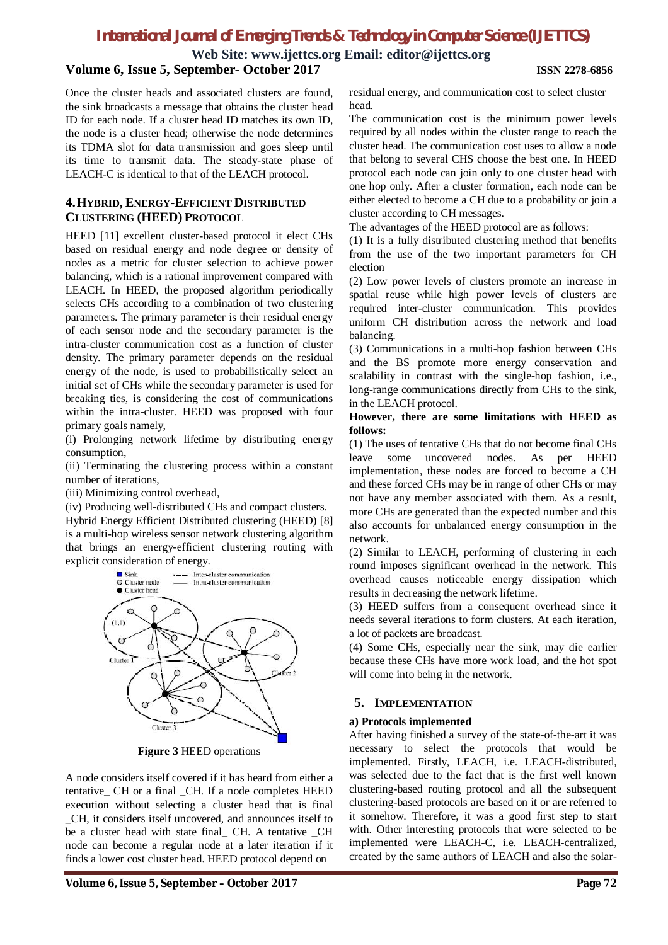**Web Site: www.ijettcs.org Email: editor@ijettcs.org**

#### **Volume 6, Issue 5, September- October 2017 ISSN 2278-6856**

Once the cluster heads and associated clusters are found, the sink broadcasts a message that obtains the cluster head ID for each node. If a cluster head ID matches its own ID, the node is a cluster head; otherwise the node determines its TDMA slot for data transmission and goes sleep until

its time to transmit data. The steady-state phase of LEACH-C is identical to that of the LEACH protocol.

#### **4.HYBRID, ENERGY-EFFICIENT DISTRIBUTED CLUSTERING (HEED) PROTOCOL**

HEED [11] excellent cluster-based protocol it elect CHs based on residual energy and node degree or density of nodes as a metric for cluster selection to achieve power balancing, which is a rational improvement compared with LEACH. In HEED, the proposed algorithm periodically selects CHs according to a combination of two clustering parameters. The primary parameter is their residual energy of each sensor node and the secondary parameter is the intra-cluster communication cost as a function of cluster density. The primary parameter depends on the residual energy of the node, is used to probabilistically select an initial set of CHs while the secondary parameter is used for breaking ties, is considering the cost of communications within the intra-cluster. HEED was proposed with four primary goals namely,

(i) Prolonging network lifetime by distributing energy consumption,

(ii) Terminating the clustering process within a constant number of iterations,

(iii) Minimizing control overhead,

(iv) Producing well-distributed CHs and compact clusters.

Hybrid Energy Efficient Distributed clustering (HEED) [8] is a multi-hop wireless sensor network clustering algorithm that brings an energy-efficient clustering routing with explicit consideration of energy.



**Figure 3** HEED operations

A node considers itself covered if it has heard from either a tentative\_ CH or a final \_CH. If a node completes HEED execution without selecting a cluster head that is final \_CH, it considers itself uncovered, and announces itself to be a cluster head with state final CH. A tentative CH node can become a regular node at a later iteration if it finds a lower cost cluster head. HEED protocol depend on

residual energy, and communication cost to select cluster head.

The communication cost is the minimum power levels required by all nodes within the cluster range to reach the cluster head. The communication cost uses to allow a node that belong to several CHS choose the best one. In HEED protocol each node can join only to one cluster head with one hop only. After a cluster formation, each node can be either elected to become a CH due to a probability or join a cluster according to CH messages.

The advantages of the HEED protocol are as follows:

(1) It is a fully distributed clustering method that benefits from the use of the two important parameters for CH election

(2) Low power levels of clusters promote an increase in spatial reuse while high power levels of clusters are required inter-cluster communication. This provides uniform CH distribution across the network and load balancing.

(3) Communications in a multi-hop fashion between CHs and the BS promote more energy conservation and scalability in contrast with the single-hop fashion, i.e., long-range communications directly from CHs to the sink, in the LEACH protocol.

#### **However, there are some limitations with HEED as follows:**

(1) The uses of tentative CHs that do not become final CHs leave some uncovered nodes. As per HEED implementation, these nodes are forced to become a CH and these forced CHs may be in range of other CHs or may not have any member associated with them. As a result, more CHs are generated than the expected number and this also accounts for unbalanced energy consumption in the network.

(2) Similar to LEACH, performing of clustering in each round imposes significant overhead in the network. This overhead causes noticeable energy dissipation which results in decreasing the network lifetime.

(3) HEED suffers from a consequent overhead since it needs several iterations to form clusters. At each iteration, a lot of packets are broadcast.

(4) Some CHs, especially near the sink, may die earlier because these CHs have more work load, and the hot spot will come into being in the network.

#### **5. IMPLEMENTATION**

#### **a) Protocols implemented**

After having finished a survey of the state-of-the-art it was necessary to select the protocols that would be implemented. Firstly, LEACH, i.e. LEACH-distributed, was selected due to the fact that is the first well known clustering-based routing protocol and all the subsequent clustering-based protocols are based on it or are referred to it somehow. Therefore, it was a good first step to start with. Other interesting protocols that were selected to be implemented were LEACH-C, i.e. LEACH-centralized, created by the same authors of LEACH and also the solar-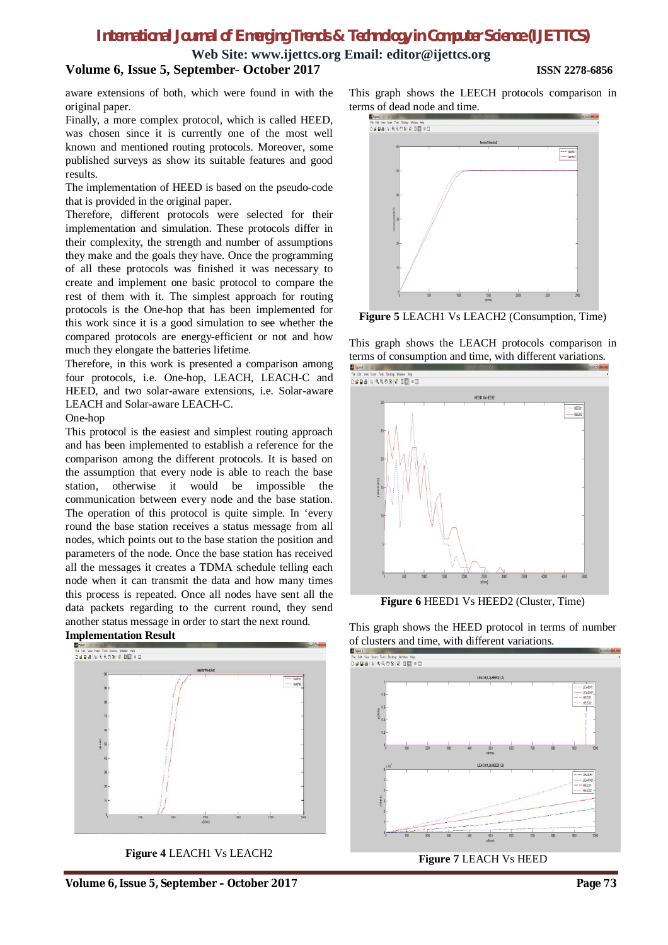**Web Site: www.ijettcs.org Email: editor@ijettcs.org**

### **Volume 6, Issue 5, September- October 2017 ISSN 2278-6856**

aware extensions of both, which were found in with the original paper.

Finally, a more complex protocol, which is called HEED, was chosen since it is currently one of the most well known and mentioned routing protocols. Moreover, some published surveys as show its suitable features and good results.

The implementation of HEED is based on the pseudo-code that is provided in the original paper.

Therefore, different protocols were selected for their implementation and simulation. These protocols differ in their complexity, the strength and number of assumptions they make and the goals they have. Once the programming of all these protocols was finished it was necessary to create and implement one basic protocol to compare the rest of them with it. The simplest approach for routing protocols is the One-hop that has been implemented for this work since it is a good simulation to see whether the compared protocols are energy-efficient or not and how much they elongate the batteries lifetime.

Therefore, in this work is presented a comparison among four protocols, i.e. One-hop, LEACH, LEACH-C and HEED, and two solar-aware extensions, i.e. Solar-aware LEACH and Solar-aware LEACH-C.

One-hop

This protocol is the easiest and simplest routing approach and has been implemented to establish a reference for the comparison among the different protocols. It is based on the assumption that every node is able to reach the base station, otherwise it would be impossible the communication between every node and the base station. The operation of this protocol is quite simple. In 'every round the base station receives a status message from all nodes, which points out to the base station the position and parameters of the node. Once the base station has received all the messages it creates a TDMA schedule telling each node when it can transmit the data and how many times this process is repeated. Once all nodes have sent all the data packets regarding to the current round, they send another status message in order to start the next round.





**Figure 4** LEACH1 Vs LEACH2

This graph shows the LEECH protocols comparison in terms of dead node and time.



**Figure 5** LEACH1 Vs LEACH2 (Consumption, Time)

This graph shows the LEACH protocols comparison in terms of consumption and time, with different variations.



**Figure 6** HEED1 Vs HEED2 (Cluster, Time)

This graph shows the HEED protocol in terms of number of clusters and time, with different variations.



**Figure 7** LEACH Vs HEED